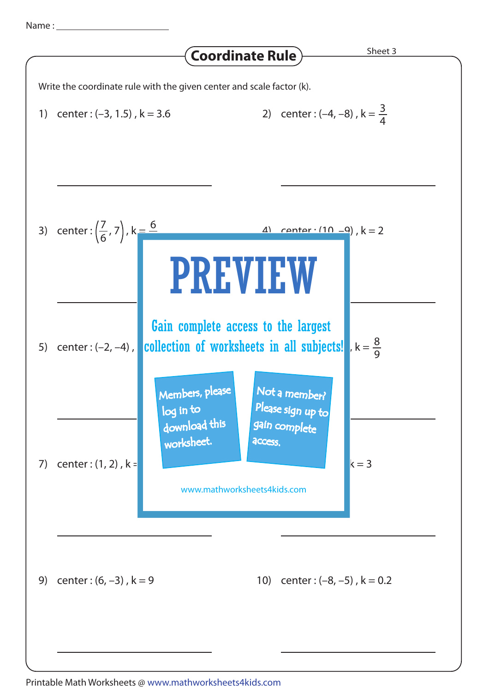